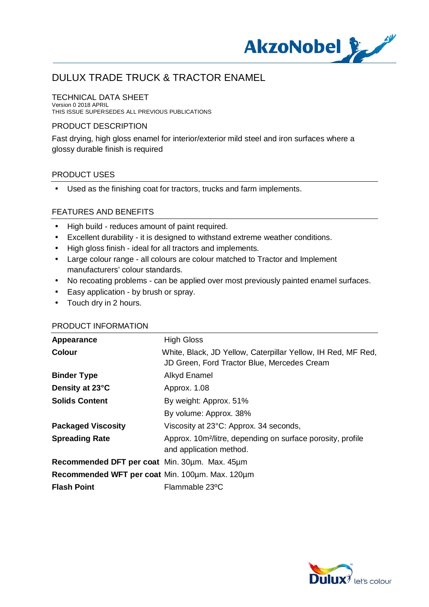

## TECHNICAL DATA SHEET

Version 0 2018 APRIL THIS ISSUE SUPERSEDES ALL PREVIOUS PUBLICATIONS

## PRODUCT DESCRIPTION

Fast drying, high gloss enamel for interior/exterior mild steel and iron surfaces where a glossy durable finish is required

### PRODUCT USES

 Used as the finishing coat for tractors, trucks and farm implements. ÷.

### FEATURES AND BENEFITS

- High build reduces amount of paint required.
- Excellent durability it is designed to withstand extreme weather conditions.
- High gloss finish ideal for all tractors and implements.
- Large colour range all colours are colour matched to Tractor and Implement manufacturers' colour standards.
- No recoating problems can be applied over most previously painted enamel surfaces.
- Easy application by brush or spray.
- . Touch dry in 2 hours.

### PRODUCT INFORMATION

| Appearance                                      | <b>High Gloss</b>                                                                                           |
|-------------------------------------------------|-------------------------------------------------------------------------------------------------------------|
| <b>Colour</b>                                   | White, Black, JD Yellow, Caterpillar Yellow, IH Red, MF Red,<br>JD Green, Ford Tractor Blue, Mercedes Cream |
| <b>Binder Type</b>                              | Alkyd Enamel                                                                                                |
| Density at 23°C                                 | Approx. 1.08                                                                                                |
| <b>Solids Content</b>                           | By weight: Approx. 51%                                                                                      |
|                                                 | By volume: Approx. 38%                                                                                      |
| <b>Packaged Viscosity</b>                       | Viscosity at 23°C: Approx. 34 seconds,                                                                      |
| <b>Spreading Rate</b>                           | Approx. 10m <sup>2</sup> /litre, depending on surface porosity, profile<br>and application method.          |
| Recommended DFT per coat Min. 30um. Max. 45um   |                                                                                                             |
| Recommended WFT per coat Min. 100um. Max. 120um |                                                                                                             |
| <b>Flash Point</b>                              | Flammable 23°C                                                                                              |

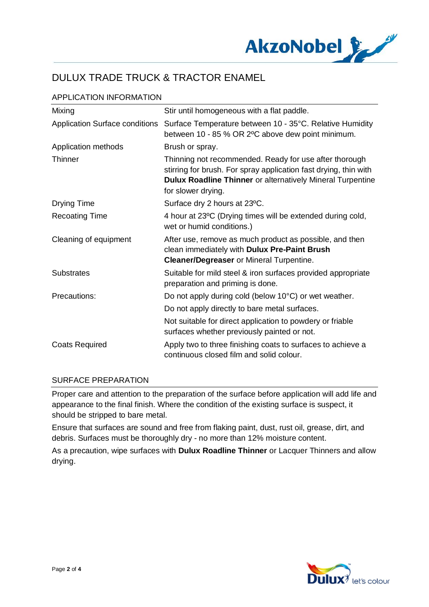

# APPLICATION INFORMATION

| Mixing                                | Stir until homogeneous with a flat paddle.                                                                                                                                                                            |
|---------------------------------------|-----------------------------------------------------------------------------------------------------------------------------------------------------------------------------------------------------------------------|
| <b>Application Surface conditions</b> | Surface Temperature between 10 - 35°C. Relative Humidity<br>between 10 - 85 % OR 2°C above dew point minimum.                                                                                                         |
| Application methods                   | Brush or spray.                                                                                                                                                                                                       |
| Thinner                               | Thinning not recommended. Ready for use after thorough<br>stirring for brush. For spray application fast drying, thin with<br><b>Dulux Roadline Thinner</b> or alternatively Mineral Turpentine<br>for slower drying. |
| <b>Drying Time</b>                    | Surface dry 2 hours at 23°C.                                                                                                                                                                                          |
| <b>Recoating Time</b>                 | 4 hour at 23°C (Drying times will be extended during cold,<br>wet or humid conditions.)                                                                                                                               |
| Cleaning of equipment                 | After use, remove as much product as possible, and then<br>clean immediately with Dulux Pre-Paint Brush<br><b>Cleaner/Degreaser or Mineral Turpentine.</b>                                                            |
| <b>Substrates</b>                     | Suitable for mild steel & iron surfaces provided appropriate<br>preparation and priming is done.                                                                                                                      |
| Precautions:                          | Do not apply during cold (below 10°C) or wet weather.                                                                                                                                                                 |
|                                       | Do not apply directly to bare metal surfaces.                                                                                                                                                                         |
|                                       | Not suitable for direct application to powdery or friable<br>surfaces whether previously painted or not.                                                                                                              |
| <b>Coats Required</b>                 | Apply two to three finishing coats to surfaces to achieve a<br>continuous closed film and solid colour.                                                                                                               |

### SURFACE PREPARATION

Proper care and attention to the preparation of the surface before application will add life and appearance to the final finish. Where the condition of the existing surface is suspect, it should be stripped to bare metal.

Ensure that surfaces are sound and free from flaking paint, dust, rust oil, grease, dirt, and debris. Surfaces must be thoroughly dry - no more than 12% moisture content.

As a precaution, wipe surfaces with **Dulux Roadline Thinner** or Lacquer Thinners and allow drying.

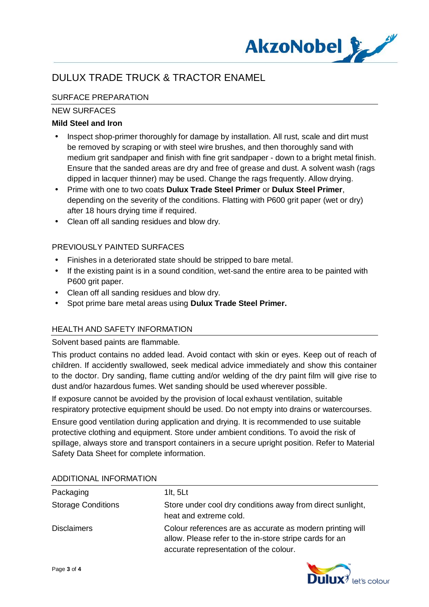

# SURFACE PREPARATION

## NEW SURFACES

## **Mild Steel and Iron**

- Inspect shop-primer thoroughly for damage by installation. All rust, scale and dirt must be removed by scraping or with steel wire brushes, and then thoroughly sand with medium grit sandpaper and finish with fine grit sandpaper - down to a bright metal finish. Ensure that the sanded areas are dry and free of grease and dust. A solvent wash (rags dipped in lacquer thinner) may be used. Change the rags frequently. Allow drying.
- Prime with one to two coats **Dulux Trade Steel Primer** or **Dulux Steel Primer**, depending on the severity of the conditions. Flatting with P600 grit paper (wet or dry) after 18 hours drying time if required.
- Clean off all sanding residues and blow dry.

## PREVIOUSLY PAINTED SURFACES

- Finishes in a deteriorated state should be stripped to bare metal.  $\mathbf{r}$
- If the existing paint is in a sound condition, wet-sand the entire area to be painted with P600 grit paper.
- Clean off all sanding residues and blow dry.
- Spot prime bare metal areas using **Dulux Trade Steel Primer.**

## HEALTH AND SAFETY INFORMATION

### Solvent based paints are flammable.

This product contains no added lead. Avoid contact with skin or eyes. Keep out of reach of children. If accidently swallowed, seek medical advice immediately and show this container to the doctor. Dry sanding, flame cutting and/or welding of the dry paint film will give rise to dust and/or hazardous fumes. Wet sanding should be used wherever possible.

If exposure cannot be avoided by the provision of local exhaust ventilation, suitable respiratory protective equipment should be used. Do not empty into drains or watercourses.

Ensure good ventilation during application and drying. It is recommended to use suitable protective clothing and equipment. Store under ambient conditions. To avoid the risk of spillage, always store and transport containers in a secure upright position. Refer to Material Safety Data Sheet for complete information.

| Packaging                 | 1 $t, 5Lt$                                                                                                                                                     |
|---------------------------|----------------------------------------------------------------------------------------------------------------------------------------------------------------|
| <b>Storage Conditions</b> | Store under cool dry conditions away from direct sunlight,<br>heat and extreme cold.                                                                           |
| <b>Disclaimers</b>        | Colour references are as accurate as modern printing will<br>allow. Please refer to the in-store stripe cards for an<br>accurate representation of the colour. |

#### ADDITIONAL INFORMATION